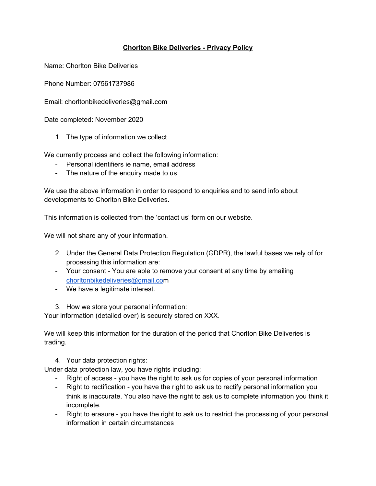## **Chorlton Bike Deliveries - Privacy Policy**

Name: Chorlton Bike Deliveries

Phone Number: 07561737986

Email: chorltonbikedeliveries@gmail.com

Date completed: November 2020

1. The type of information we collect

We currently process and collect the following information:

- Personal identifiers ie name, email address
- The nature of the enquiry made to us

We use the above information in order to respond to enquiries and to send info about developments to Chorlton Bike Deliveries.

This information is collected from the 'contact us' form on our website.

We will not share any of your information.

- 2. Under the General Data Protection Regulation (GDPR), the lawful bases we rely of for processing this information are:
- Your consent You are able to remove your consent at any time by emailing [chorltonbikedeliveries@gmail.com](mailto:chorltonbikedeliveries@gmail.co)
- We have a legitimate interest.

3. How we store your personal information:

Your information (detailed over) is securely stored on XXX.

We will keep this information for the duration of the period that Chorlton Bike Deliveries is trading.

4. Your data protection rights:

Under data protection law, you have rights including:

- Right of access you have the right to ask us for copies of your personal information
- Right to rectification you have the right to ask us to rectify personal information you think is inaccurate. You also have the right to ask us to complete information you think it incomplete.
- Right to erasure you have the right to ask us to restrict the processing of your personal information in certain circumstances